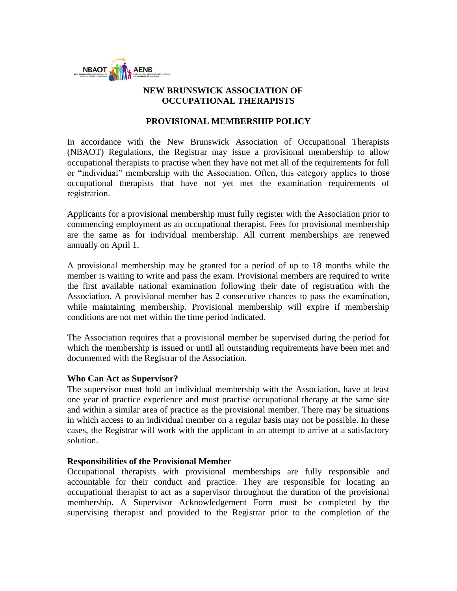

# **NEW BRUNSWICK ASSOCIATION OF OCCUPATIONAL THERAPISTS**

### **PROVISIONAL MEMBERSHIP POLICY**

In accordance with the New Brunswick Association of Occupational Therapists (NBAOT) Regulations, the Registrar may issue a provisional membership to allow occupational therapists to practise when they have not met all of the requirements for full or "individual" membership with the Association. Often, this category applies to those occupational therapists that have not yet met the examination requirements of registration.

Applicants for a provisional membership must fully register with the Association prior to commencing employment as an occupational therapist. Fees for provisional membership are the same as for individual membership. All current memberships are renewed annually on April 1.

A provisional membership may be granted for a period of up to 18 months while the member is waiting to write and pass the exam. Provisional members are required to write the first available national examination following their date of registration with the Association. A provisional member has 2 consecutive chances to pass the examination, while maintaining membership. Provisional membership will expire if membership conditions are not met within the time period indicated.

The Association requires that a provisional member be supervised during the period for which the membership is issued or until all outstanding requirements have been met and documented with the Registrar of the Association.

#### **Who Can Act as Supervisor?**

The supervisor must hold an individual membership with the Association, have at least one year of practice experience and must practise occupational therapy at the same site and within a similar area of practice as the provisional member. There may be situations in which access to an individual member on a regular basis may not be possible. In these cases, the Registrar will work with the applicant in an attempt to arrive at a satisfactory solution.

#### **Responsibilities of the Provisional Member**

Occupational therapists with provisional memberships are fully responsible and accountable for their conduct and practice. They are responsible for locating an occupational therapist to act as a supervisor throughout the duration of the provisional membership. A Supervisor Acknowledgement Form must be completed by the supervising therapist and provided to the Registrar prior to the completion of the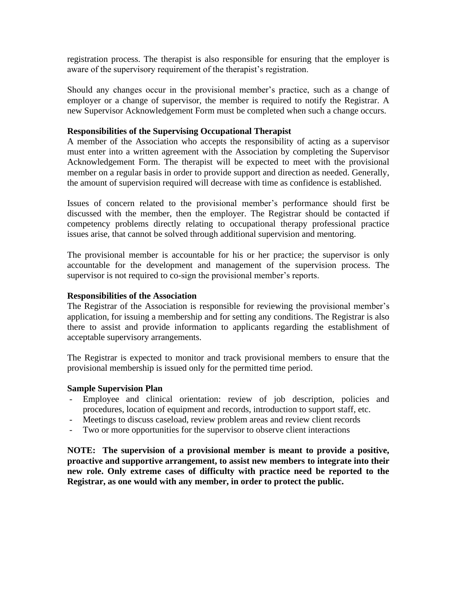registration process. The therapist is also responsible for ensuring that the employer is aware of the supervisory requirement of the therapist's registration.

Should any changes occur in the provisional member's practice, such as a change of employer or a change of supervisor, the member is required to notify the Registrar. A new Supervisor Acknowledgement Form must be completed when such a change occurs.

#### **Responsibilities of the Supervising Occupational Therapist**

A member of the Association who accepts the responsibility of acting as a supervisor must enter into a written agreement with the Association by completing the Supervisor Acknowledgement Form. The therapist will be expected to meet with the provisional member on a regular basis in order to provide support and direction as needed. Generally, the amount of supervision required will decrease with time as confidence is established.

Issues of concern related to the provisional member's performance should first be discussed with the member, then the employer. The Registrar should be contacted if competency problems directly relating to occupational therapy professional practice issues arise, that cannot be solved through additional supervision and mentoring.

The provisional member is accountable for his or her practice; the supervisor is only accountable for the development and management of the supervision process. The supervisor is not required to co-sign the provisional member's reports.

#### **Responsibilities of the Association**

The Registrar of the Association is responsible for reviewing the provisional member's application, for issuing a membership and for setting any conditions. The Registrar is also there to assist and provide information to applicants regarding the establishment of acceptable supervisory arrangements.

The Registrar is expected to monitor and track provisional members to ensure that the provisional membership is issued only for the permitted time period.

#### **Sample Supervision Plan**

- Employee and clinical orientation: review of job description, policies and procedures, location of equipment and records, introduction to support staff, etc.
- Meetings to discuss caseload, review problem areas and review client records
- Two or more opportunities for the supervisor to observe client interactions

**NOTE: The supervision of a provisional member is meant to provide a positive, proactive and supportive arrangement, to assist new members to integrate into their new role. Only extreme cases of difficulty with practice need be reported to the Registrar, as one would with any member, in order to protect the public.**